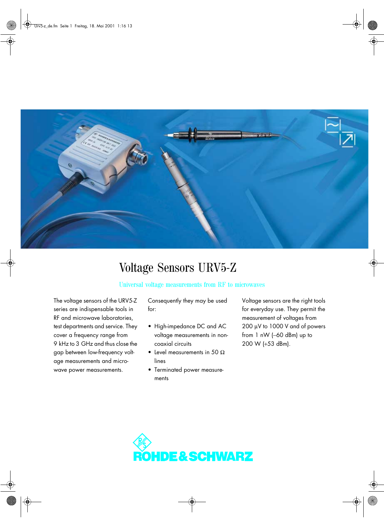

## Voltage Sensors URV5-Z

## Universal voltage measurements from RF to microwaves

The voltage sensors of the URV5-Z series are indispensable tools in RF and microwave laboratories, test departments and service. They cover a frequency range from 9 kHz to 3 GHz and thus close the gap between low-frequency voltage measurements and microwave power measurements.

Consequently they may be used for:

- High-impedance DC and AC voltage measurements in noncoaxial circuits
- Level measurements in 50  $\Omega$ lines
- Terminated power measurements

Voltage sensors are the right tools for everyday use. They permit the measurement of voltages from 200 µV to 1000 V and of powers from 1 nW (−60 dBm) up to 200 W (+53 dBm).

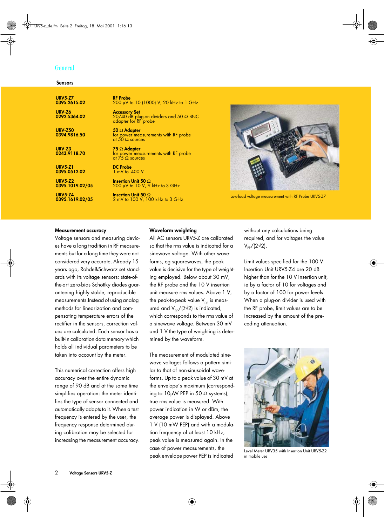#### **General**

#### **Sensors**

| <b>URV5-Z7</b>                 | <b>RF</b> Probe                                                                               |
|--------------------------------|-----------------------------------------------------------------------------------------------|
| 0395.2615.02                   | 200 μV to 10 (1000) V, 20 kHz to 1 GHz                                                        |
| URV-Z6<br>0292.5364.02         | <b>Accessory Set</b><br>20/40 dB plug-on dividers and 50 $\Omega$ BNC<br>adapter for RF probe |
| <b>URV-Z50</b><br>0394.9816.50 | 50 $\Omega$ Adapter<br>for power measurements with RF probe<br>at 50 $\Omega$ sources         |
| URV-Z3<br>0243.9118.70         | 75 $\Omega$ Adapter<br>for power measurements with RF probe<br>at $75 \Omega$ sources         |
| <b>URV5-Z1</b>                 | <b>DC</b> Probe                                                                               |
| 0395.0512.02                   | 1 mV to 400 V                                                                                 |
| <b>URV5-Z2</b>                 | <b>Insertion Unit 50 <math>\Omega</math></b>                                                  |
| 0395.1019.02/05                | $200 \mu V$ to 10 V, 9 kHz to 3 GHz                                                           |
| <b>URV5-Z4</b>                 | Insertion Unit 50 $\Omega$                                                                    |
| 0395.1619.02/05                | 2 mV to 100 V, 100 kHz to 3 GHz                                                               |



Low-load voltage measurement with RF Probe URV5-Z7

#### **Measurement accuracy**

Voltage sensors and measuring devices have a long tradition in RF measurements but for a long time they were not considered very accurate. Already 15 years ago, Rohde&Schwarz set standards with its voltage sensors: state-ofthe-art zero-bias Schottky diodes guaranteeing highly stable, reproducible measurements.Instead of using analog methods for linearization and compensating temperature errors of the rectifier in the sensors, correction values are calculated. Each sensor has a built-in calibration data memory which holds all individual parameters to be taken into account by the meter.

This numerical correction offers high accuracy over the entire dynamic range of 90 dB and at the same time simplifies operation: the meter identifies the type of sensor connected and automatically adapts to it. When a test frequency is entered by the user, the frequency response determined during calibration may be selected for increasing the measurement accuracy.

#### **Waveform weighting**

All AC sensors URV5-Z are calibrated so that the rms value is indicated for a sinewave voltage. With other waveforms, eg squarewaves, the peak value is decisive for the type of weighting employed. Below about 30 mV, the RF probe and the 10 V insertion unit measure rms values. Above 1 V, the peak-to-peak value  $V_{\text{pp}}$  is measured and  $V_{\text{pp}}/(2\sqrt{2})$  is indicated, which corresponds to the rms value of a sinewave voltage. Between 30 mV and 1 V the type of weighting is determined by the waveform.

The measurement of modulated sinewave voltages follows a pattern similar to that of non-sinusoidal waveforms. Up to a peak value of 30 mV at the envelope´s maximum (corresponding to  $10\mu$ W PEP in 50  $\Omega$  systems), true rms value is measured. With power indication in W or dBm, the average power is displayed. Above 1 V (10 mW PEP) and with a modulation frequency of at least 10 kHz, peak value is measured again. In the case of power measurements, the peak envelope power PEP is indicated

without any calculations being required, and for voltages the value  $V_{PP}/(2\sqrt{2})$ .

Limit values specified for the 100 V Insertion Unit URV5-Z4 are 20 dB higher than for the 10 V insertion unit, ie by a factor of 10 for voltages and by a factor of 100 for power levels. When a plug-on divider is used with the RF probe, limit values are to be increased by the amount of the preceding attenuation.



Level Meter URV35 with Insertion Unit URV5-Z2 in mobile use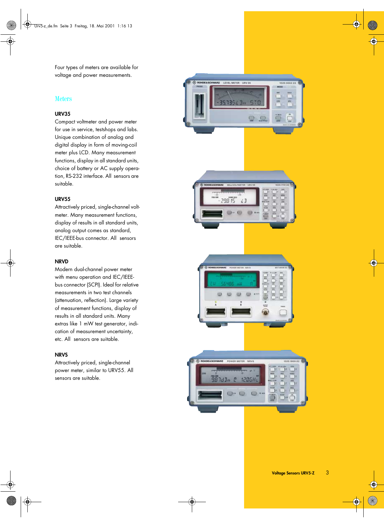Four types of meters are available for voltage and power measurements.

#### **Meters**

#### **URV35**

Compact voltmeter and power meter for use in service, testshops and labs. Unique combination of analog and digital display in form of moving-coil meter plus LCD. Many measurement functions, display in all standard units, choice of battery or AC supply operation, RS-232 interface. All sensors are suitable.

#### **URV55**

Attractively priced, single-channel voltmeter. Many measurement functions, display of results in all standard units, analog output comes as standard, IEC/IEEE-bus connector. All sensors are suitable.

#### **NRVD**

Modern dual-channel power meter with menu operation and IEC/IEEEbus connector (SCPI). Ideal for relative measurements in two test channels (attenuation, reflection). Large variety of measurement functions, display of results in all standard units. Many extras like 1 mW test generator, indication of measurement uncertainty, etc. All sensors are suitable.

#### **NRVS**

Attractively priced, single-channel power meter, similar to URV55. All sensors are suitable.

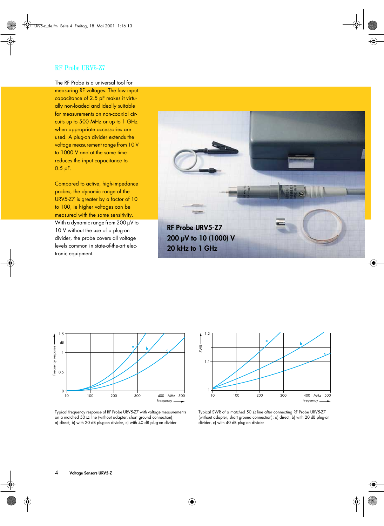#### RF Probe URV5-Z7

The RF Probe is a universal tool for measuring RF voltages. The low input capacitance of 2.5 pF makes it virtually non-loaded and ideally suitable for measurements on non-coaxial circuits up to 500 MHz or up to 1 GHz when appropriate accessories are used. A plug-on divider extends the voltage measurement range from 10 V to 1000 V and at the same time reduces the input capacitance to 0.5 pF.

Compared to active, high-impedance probes, the dynamic range of the URV5-Z7 is greater by a factor of 10 to 100, ie higher voltages can be measured with the same sensitivity. With a dynamic range from 200 µV to 10 V without the use of a plug-on divider, the probe covers all voltage

levels common in state-of-the-art electronic equipment.





Typical frequency response of RF Probe URV5-Z7 with voltage measurements on a matched 50  $\Omega$  line (without adapter, short ground connection); a) direct, b) with 20 dB plug-on divider, c) with 40 dB plug-on divider



Typical SWR of a matched 50  $\Omega$  line after connecting RF Probe URV5-Z7 (without adapter, short ground connection); a) direct, b) with 20 dB plug-on divider, c) with 40 dB plug-on divider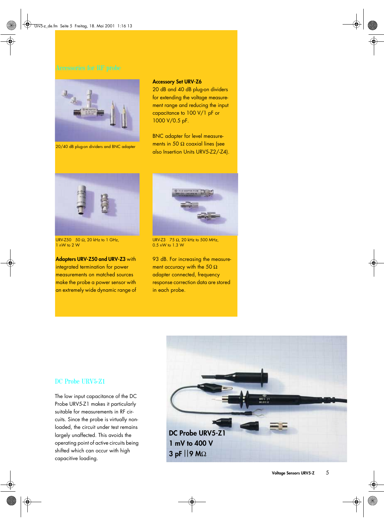

20/40 dB plug-on dividers and BNC adapter

#### **Accessory Set URV-Z6**

20 dB and 40 dB plug-on dividers for extending the voltage measurement range and reducing the input capacitance to 100 V/1 pF or 1000 V/0.5 pF.

BNC adapter for level measurements in 50  $\Omega$  coaxial lines (see also Insertion Units URV5-Z2/-Z4).



URV-Z50 50 Ω, 20 kHz to 1 GHz, 1 nW to 2 W

**Adapters URV-Z50 and URV-Z3** with integrated termination for power measurements on matched sources make the probe a power sensor with an extremely wide dynamic range of



URV-Z3 75  $\Omega$ , 20 kHz to 500 MHz, 0.5 nW to 1.3 W

93 dB. For increasing the measurement accuracy with the 50  $\Omega$ adapter connected, frequency response correction data are stored in each probe.

# *DC Probe URV5-Z1 1 mV to 400 V* 3 pF | 9 MΩ

#### DC Probe URV5-Z1

The low input capacitance of the DC Probe URV5-Z1 makes it particularly suitable for measurements in RF circuits. Since the probe is virtually nonloaded, the circuit under test remains largely unaffected. This avoids the operating point of active circuits being shifted which can occur with high capacitive loading.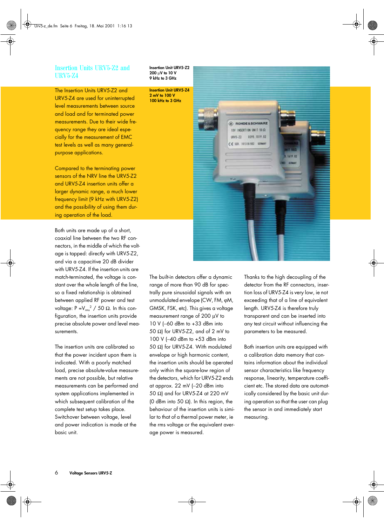#### Insertion Units URV5-Z2 and URV5-Z4

The Insertion Units URV5-Z2 and

URV5-Z4 are used for uninterrupted level measurements between source and load and for terminated power measurements. Due to their wide frequency range they are ideal especially for the measurement of EMC test levels as well as many generalpurpose applications.

Compared to the terminating power sensors of the NRV line the URV5-Z2 and URV5-Z4 insertion units offer a larger dynamic range, a much lower frequency limit (9 kHz with URV5-Z2) and the possibility of using them during operation of the load.

Both units are made up of a short, coaxial line between the two RF connectors, in the middle of which the voltage is tapped: directly with URV5-Z2, and via a capacitive 20 dB divider with URV5-Z4. If the insertion units are match-terminated, the voltage is constant over the whole length of the line, so a fixed relationship is obtained between applied RF power and test voltage: P = $V_{rms}^{2}$  / 50 Ω. In this configuration, the insertion units provide precise absolute power and level measurements.

The insertion units are calibrated so that the power incident upon them is indicated. With a poorly matched load, precise absolute-value measurements are not possible, but relative measurements can be performed and system applications implemented in which subsequent calibration of the complete test setup takes place. Switchover between voltage, level and power indication is made at the basic unit.

**Insertion Unit URV5-Z2 200** µ**V to 10 V 9 kHz to 3 GHz**

**2 mV to 100 V**



The built-in detectors offer a dynamic range of more than 90 dB for spectrally pure sinusoidal signals with an unmodulated envelope (CW, FM, ϕM, GMSK, FSK, etc). This gives a voltage measurement range of 200 µV to 10 V (−60 dBm to +33 dBm into 50 Ω) for URV5-Z2, and of 2 mV to 100 V (−40 dBm to +53 dBm into 50 Ω) for URV5-Z4. With modulated envelope or high harmonic content, the insertion units should be operated only within the square-law region of the detectors, which for URV5-Z2 ends at approx. 22 mV (−20 dBm into 50 Ω) and for URV5-Z4 at 220 mV (0 dBm into 50  $\Omega$ ). In this region, the behaviour of the insertion units is similar to that of a thermal power meter, ie the rms voltage or the equivalent average power is measured.

Thanks to the high decoupling of the detector from the RF connectors, insertion loss of URV5-Z4 is very low, ie not exceeding that of a line of equivalent length. URV5-Z4 is therefore truly transparent and can be inserted into any test circuit without influencing the parameters to be measured.

Both insertion units are equipped with a calibration data memory that contains information about the individual sensor characteristics like frequency response, linearity, temperature coefficient etc. The stored data are automatically considered by the basic unit during operation so that the user can plug the sensor in and immediately start measuring.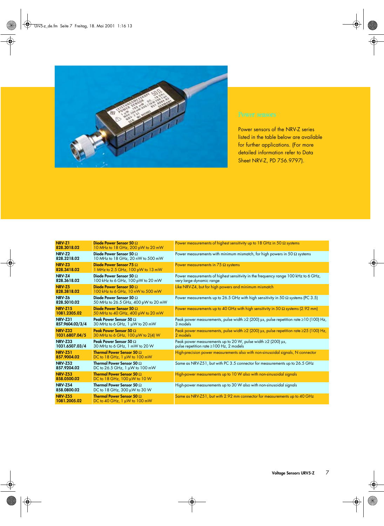

Power sensors of the NRV-Z series listed in the table below are available for further applications. (For more detailed information refer to Data Sheet NRV-Z, PD 756.9797).

| NRV-Z1<br>828.3018.02             | Diode Power Sensor 50 $\Omega$<br>10 MHz to 18 GHz, 200 pW to 20 mW                       | Power measurements of highest sensitivity up to 18 GHz in 50 $\Omega$ systems                                          |
|-----------------------------------|-------------------------------------------------------------------------------------------|------------------------------------------------------------------------------------------------------------------------|
| NRV <sub>Z2</sub><br>828.3218.02  | Diode Power Sensor 50 $\Omega$<br>10 MHz to 18 GHz, 20 nW to 500 mW                       | Power measurements with minimum mismatch, for high powers in 50 $\Omega$ systems                                       |
| NRV-Z3<br>828.3418.02             | Diode Power Sensor 75 $\Omega$<br>1 MHz to 2.5 GHz, 100 pW to 13 mW                       | Power measurements in $75 \Omega$ systems                                                                              |
| NRV-Z4<br>828.3618.02             | Diode Power Sensor 50 $\Omega$<br>100 kHz to 6 GHz, 100 pW to 20 mW                       | Power measurements of highest sensitivity in the frequency range 100 kHz to 6 GHz,<br>very large dynamic range         |
| NRV-Z5<br>828.3818.02             | Diode Power Sensor 50 $\Omega$<br>100 kHz to 6 GHz, 10 nW to 500 mW                       | Like NRV-Z4, but for high powers and minimum mismatch                                                                  |
| NRV-Z6<br>828.5010.02             | Diode Power Sensor 50 $\Omega$<br>50 MHz to 26.5 GHz, 400 pW to 20 mW                     | Power measurements up to 26.5 GHz with high sensitivity in 50 $\Omega$ systems (PC 3.5)                                |
| <b>NRV-Z15</b><br>1081.2305.02    | Diode Power Sensor 50 $\Omega$<br>50 MHz to 40 GHz, 400 pW to 20 mW                       | Power measurements up to 40 GHz with high sensitivity in 50 $\Omega$ systems (2.92 mm)                                 |
| <b>NRV-Z31</b><br>857.9604.02/3/4 | Peak Power Sensor 50 $\Omega$<br>30 MHz to 6 GHz, 1 µW to 20 mW                           | Peak power measurements, pulse width $\geq$ (200) µs, pulse repetition rate $\geq$ 10 (100) Hz,<br>3 models            |
| <b>NRV-Z32</b><br>1031.6807.04/5  | Peak Power Sensor 50 $\Omega$<br>30 MHz to 6 GHz, $100 \mu W$ to 2(4) W                   | Peak power measurements, pulse width $\geq$ (200) µs, pulse repetition rate $\geq$ 25 (100) Hz,<br>2 models            |
| <b>NRV-Z33</b><br>1031.6507.03/4  | Peak Power Sensor 50 $\Omega$<br>30 MHz to 6 GHz, 1 mW to 20 W                            | Peak power measurements up to 20 W, pulse width $\geq$ (200) $\mu$ s,<br>pulse repetition rate $\geq$ 100 Hz, 2 models |
| <b>NRV-Z51</b><br>857.9004.02     | <b>Thermal Power Sensor 50 <math>\Omega</math></b><br>DC to 18 GHz, $1 \mu W$ to 100 mW   | High-precision power measurements also with non-sinusoidal signals, N connector                                        |
| <b>NRV-Z52</b><br>857.9204.02     | Thermal Power Sensor 50 $\Omega$<br>DC to 26.5 GHz, 1 µW to 100 mW                        | Same as NRV-Z51, but with PC 3.5 connector for measurements up to 26.5 GHz                                             |
| <b>NRV-Z53</b><br>858.0500.02     | <b>Thermal Power Sensor 50 <math>\Omega</math></b><br>DC to 18 GHz, $100 \mu W$ to $10 W$ | High-power measurements up to 10 W also with non-sinusoidal signals                                                    |
| <b>NRV-Z54</b><br>858.0800.02     | Thermal Power Sensor 50 $\Omega$<br>DC to 18 GHz, 300 µW to 30 W                          | High-power measurements up to 30 W also with non-sinusoidal signals                                                    |
| <b>NRV-Z55</b><br>1081.2005.02    | <b>Thermal Power Sensor 50 <math>\Omega</math></b><br>DC to 40 GHz, $1 \mu W$ to 100 mW   | Same as NRV-Z51, but with 2.92 mm connector for measurements up to 40 GHz                                              |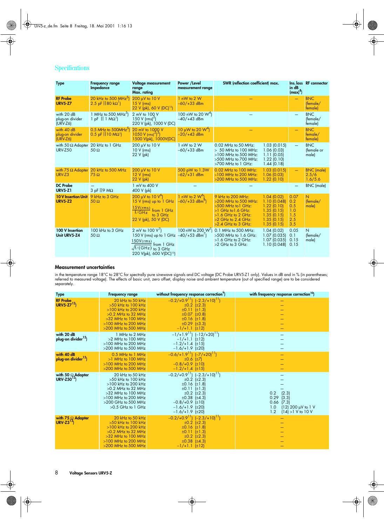### Specifications

| <b>Type</b>                                                | <b>Frequency range</b><br>Impedance                                                           | Voltage measurement<br>range<br>Max. rating                                                                                                                                              | Power /Level<br>measurement range                     | SWR (reflection coefficient) max.                                                                                                                                     |                                                                                                  | $\mathsf{in} \, \mathsf{dB}$<br>$\frac{1}{2}$ (max) <sup>8</sup> ) | Ins. loss RF connector                |
|------------------------------------------------------------|-----------------------------------------------------------------------------------------------|------------------------------------------------------------------------------------------------------------------------------------------------------------------------------------------|-------------------------------------------------------|-----------------------------------------------------------------------------------------------------------------------------------------------------------------------|--------------------------------------------------------------------------------------------------|--------------------------------------------------------------------|---------------------------------------|
| <b>RF Probe</b><br><b>URV5-Z7</b>                          | 20 kHz to 500 MHz <sup>3</sup><br>2.5 pF $(80 \text{ k}\Omega)$                               | 200 µV to 10 V<br>$15 V$ (rms)<br>22 V (pk), 60 V (DC) <sup>15</sup> )                                                                                                                   | 1 nW to 2 W<br>$-60/+33$ dBm                          |                                                                                                                                                                       |                                                                                                  |                                                                    | <b>BNC</b><br>[female/<br>female)     |
| with 20 dB<br>plug-on divider<br>$(URV-Z6)$                | 1 MHz to 500 MHz <sup>5</sup> )<br>$1$ pF $\left  \left  \right  1 \text{ M}\Omega^1 \right $ | 2 mV to 100 V<br>150 V ( $\text{rms}$ ) <sup>2</sup> )<br>220 V (pk), 1000 V (DC)                                                                                                        | 100 nW to 20 $W4$ )<br>$-40/+43$ dBm                  |                                                                                                                                                                       |                                                                                                  |                                                                    | <b>BNC</b><br>(female/<br>female)     |
| with 40 dB<br>plug-on divider<br>$(URV-Z6)$                | $0.5$ MHz to 500MHz <sup>3</sup><br>$0.5$ pF $  10 \overline{M\Omega} $                       | 20 mV to 1000 V<br>$1050 \text{ V (rms)}^2$<br>1500 V(pk), 1000V(DC)                                                                                                                     | 10 µW to 20 $W4$ )<br>$-20/+43$ dBm                   |                                                                                                                                                                       |                                                                                                  |                                                                    | <b>BNC</b><br>female/<br>female)      |
| with 50 $\Omega$ Adapter 20 kHz to 1 GHz<br><b>URV-Z50</b> | $50 \Omega$                                                                                   | 200 µV to 10 V<br>$10 V$ (rms)<br>22 V (pk)                                                                                                                                              | 1 nW to 2 W<br>$-60/+33$ dBm                          | 0.02 MHz to 50 MHz:<br>$> 50$ MHz to 100 MHz:<br>$>100$ MHz to 500 MHz:<br>>500 MHz to 700 MHz:<br>$>700$ MHz to 1 GHz:                                               | 1.03(0.015)<br>1.06(0.03)<br>1.11(0.05)<br>1.22(0.10)<br>1.44(0.18)                              |                                                                    | <b>BNC</b><br>(female or<br>male)     |
| URV-Z3                                                     | with $75 \Omega$ Adapter 20 kHz to 500 MHz<br>$75 \Omega$                                     | 200 µV to 10 V<br>$12 V$ (rms)<br>22 V (pk)                                                                                                                                              | 500 pW to 1.3W<br>$-62/+31$ dBm                       | 0.02 MHz to 100 MHz:<br>>100 MHz to 200 MHz:<br>>200 MHz to 500 MHz:                                                                                                  | $1.03$ (0.015)<br>1.06(0.03)<br>1.22(0.10)                                                       |                                                                    | <b>BNC</b> (male)<br>2.5/6<br>1.6/5.6 |
| <b>DC</b> Probe<br><b>URV5-Z1</b>                          | $3$ pF $  9$ M $\Omega$                                                                       | 1 mV to 400 V<br>400 V (pk)                                                                                                                                                              |                                                       |                                                                                                                                                                       |                                                                                                  |                                                                    | <b>BNC</b> (male)                     |
| <b>10 V Insertion Unit</b><br><b>URV5-Z2</b>               | 9 kHz to 3 GHz<br>$50 \Omega$                                                                 | $200 \mu V$ to 10 $V^{\circ}$<br>$15$ V (rms) up to $1$ GHz<br>15V(rms)<br>from 1 GHz<br>f/GHz<br>to 3 GHz<br>22 V (pk), 50 V (DC)                                                       | 1 nW to 2 $W^{\circ}$<br>$-60/+33$ dBm <sup>o</sup> ) | 9 kHz to 200 MHz:<br>>200 MHz to 500 MHz:<br>$>500$ MHz to $1$ GHz:<br>$>1$ GHz to $1.6$ GHz:<br>$>1.6$ GHz to 2 GHz:<br>$>2$ GHz to 2.4 GHz:<br>$>2.4$ GHz to 3 GHz: | 1.04 (0.02)<br>1.10(0.048)<br>1.22(0.10)<br>1.35(0.15)<br>1.35(0.15)<br>1.35(0.15)<br>1.35(0.15) | 0.07<br>0.2<br>0.5<br>1.0<br>1.5<br>2.5<br>3.5                     | N<br>(female/<br>male)                |
| 100 V Insertion<br>Unit URV5-Z4                            | 100 kHz to 3 GHz<br>$50 \Omega$                                                               | 2 mV to $100 V'$ )<br>150 V (rms) up to 1 GHz $-40/+53$ dBm <sup>2</sup> )<br>150V(rms)<br>$\frac{2}{3}$ from 1 GHz<br>$\sqrt{f/(GHz)}$ to 3 GHz<br>220 V(pk), 600 V(DC) <sup>15</sup> ) |                                                       | 100 nW to 200 W') 0.1 MHz to 500 MHz:<br>>500 MHz to 1.6 GHz:<br>$>1.6$ GHz to 2 GHz:<br>>2 GHz to 3 GHz:                                                             | 1.04(0.02)<br>1.07(0.035)<br>1.07(0.035)<br>1.10(0.048)                                          | 0.05<br>0.1<br>0.15<br>0.15                                        | N<br>(female/<br>male)                |

#### **Measurement uncertainties**

in the temperature range 18°C to 28°C tor spectrally pure sinewave signals and DC voltage (DC Probe URV5-Z1 only). Values in dB and in % (in parentheses;<br>referred to measured voltage). The effects of basic unit, zero offse

| <b>Type</b>                                   | <b>Frequency range</b>                                                                                                                                                                     | without frequency response correction <sup>7</sup> )                                                                                                                                                                                                            | with frequency response correction <sup>10</sup> )                                                                  |
|-----------------------------------------------|--------------------------------------------------------------------------------------------------------------------------------------------------------------------------------------------|-----------------------------------------------------------------------------------------------------------------------------------------------------------------------------------------------------------------------------------------------------------------|---------------------------------------------------------------------------------------------------------------------|
| <b>RF Probe</b><br>URV5- $Z7^{12}$            | 20 kHz to 50 kHz<br>$>50$ kHz to 100 kHz<br>$>100$ kHz to 200 kHz<br>$>0.2$ MHz to 32 MHz<br>>32 MHz to 100 MHz<br>$>100$ MHz to 200 MHz<br>$>200$ MHz to 500 MHz                          | $-0.2/10.9^{11}$ $(-2.3/10)$ <sup>11</sup> )<br>$\pm 0.2$ ( $\pm 2.3$ )<br>$\pm 0.11 \pm 1.3$<br>$±0.07$ $±0.8$<br>$±0.16$ $±1.8$<br>$\pm 0.29$ ( $\pm 3.3$ )<br>$-1/+1.1$ (±12)                                                                                |                                                                                                                     |
| with 20 dB<br>plug-on divider <sup>12</sup> ) | 1 MHz to 2 MHz<br>$>2$ MHz to 100 MHz<br>$>100$ MHz to 200 MHz<br>$>200$ MHz to 500 MHz                                                                                                    | $-1/1.9^{11}$ $(-12/120)^{11}$<br>$-1/+1.1$ (±12)<br>$-1.2/+1.4$ (±15)<br>$-1.6/+1.9$ (±20)                                                                                                                                                                     |                                                                                                                     |
| with 40 dB<br>plug-on divider <sup>12</sup> ) | 0.5 MHz to 1 MHz<br>>1 MHz to 100 MHz<br>$>100$ MHz to 200 MHz<br>$>200$ MHz to 500 MHz                                                                                                    | $-0.6/1.9^{11}$ $(-7/120)^{11}$<br>$\pm 0.6$ ( $\pm 7$ )<br>$-0.8/+0.9$ (±10)<br>$-1.2/+1.4$ (±15)                                                                                                                                                              |                                                                                                                     |
| with 50 $\Omega$ Adapter<br>URV-Z50 $^{13}$ ) | 20 kHz to 50 kHz<br>$>50$ kHz to 100 kHz<br>$>100$ kHz to 200 kHz<br>$>0.2$ MHz to 32 MHz<br>$>32$ MHz to 100 MHz<br>$>100$ MHz to 200 MHz<br>$>200$ GHz to 500 MHz<br>$>0.5$ GHz to 1 GHz | $-0.2/10.9$ <sup>1</sup> ] $(-2.3/10)$ <sup>11</sup> ]<br>$\pm 0.2$ ( $\pm 2.3$ )<br>$\pm 0.16$ ( $\pm 1.8$ )<br>$\pm 0.11$ ( $\pm 1.3$ )<br>$\pm 0.2$ ( $\pm 2.3$ )<br>$\pm 0.38$ ( $\pm 4.3$ )<br>$-0.8/+0.9$ (±10)<br>$-1.6/+1.9$ (±20)<br>$-1.6/+1.9$ (±20) | (2.3)<br>0.2<br>0.29<br>(3.3)<br>0.66<br>(7.3)<br>1.0<br>$(12)$ 200 $\mu$ V to 1 V<br>1.2<br>$(14) > 1$ V to $10$ V |
| with 75 $\Omega$ Adapter<br>URV-Z3 $^{13}$    | 20 kHz to 50 kHz<br>$>50$ kHz to 100 kHz<br>$>100$ kHz to 200 kHz<br>$>0.2$ MHz to 32 MHz<br>$>32$ MHz to 100 MHz<br>$>100$ MHz to 200 MHz<br>$>200$ MHz to 500 MHz                        | $-0.2/10.9^{11}$ $(-2.3/10)^{11}$<br>$\pm 0.2$ ( $\pm 2.3$ )<br>$±0.16$ $±1.8$<br>$\pm 0.11 \pm 1.3$<br>$\pm 0.2$ ( $\pm 2.3$ )<br>$\pm 0.38 \ (\pm 4.3)$<br>$-1/+1.1$ (±12)                                                                                    |                                                                                                                     |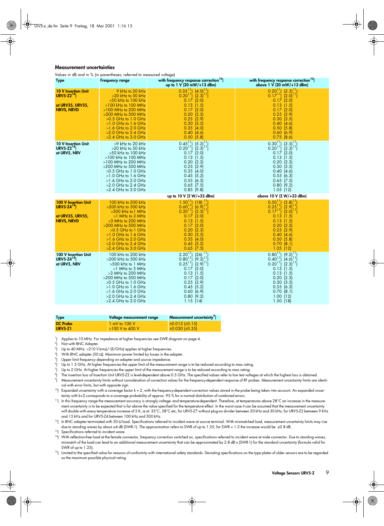#### **Measurement uncertainties**

Values in dB and in % (in parentheses; referred to measured voltage)

| <b>Type</b>                                                                               | <b>Frequency range</b>                                                                                                                                                                                                                                                      | with frequency response correction <sup>10</sup> )<br>up to $1 \text{ V}$ (20 mW/+13 dBm)                                                                                                                                                                            | with frequency response correction <sup>10</sup> )<br>above 1 V (20 mW/+13 dBm)                                                                                                                                                                          |
|-------------------------------------------------------------------------------------------|-----------------------------------------------------------------------------------------------------------------------------------------------------------------------------------------------------------------------------------------------------------------------------|----------------------------------------------------------------------------------------------------------------------------------------------------------------------------------------------------------------------------------------------------------------------|----------------------------------------------------------------------------------------------------------------------------------------------------------------------------------------------------------------------------------------------------------|
| <b>10 V Insertion Unit</b><br>$URV5-Z214$<br><u>at URV35, URV55,</u><br><b>NRVS, NRVD</b> | 9 kHz to 20 kHz<br>$>20$ kHz to 50 kHz<br>$>50$ kHz to 100 kHz<br>$>100$ kHz to $100$ MHz<br>$>100$ MHz to 200 MHz<br>$>$ 200 MHz to 500 MHz<br>$>0.5$ GHz to 1.0 GHz<br>$>1.0$ GHz to $1.6$ GHz<br>$>1.6$ GHz to 2.0 GHz<br>$>2.0$ GHz to 2.4 GHz<br>$>2.4$ GHz to 3.0 GHz | $[0.35]$ $[4.0]$ $[1]$<br>$(2.3)^{11}$<br>$0.20^{11}$<br>0.17<br>(2.0)<br>0.13<br>(1.5)<br>(2.0)<br>0.17<br>0.20<br>(2.3)<br>0.25<br>(2.9)<br>0.30<br>(3.5)<br>0.35<br>(4.0)<br>0.40<br>(4.6)<br>$0.50$ (5.8)                                                        | $[0.20]$ $[2.3]$ $[1]$<br>$0.17^{11}$ (2.0) <sup>11</sup><br>$0.17$ (2.0)<br>0.13<br>(1.5)<br>0.17(2.0)<br>$0.25$ (2.9)<br>0.30<br>(3.5)<br>0.40<br>(4.6)<br>$0.50$ (5.8)<br>0.60(6.9)<br>$0.75$ $(8.6)$                                                 |
| <b>10 V-Insertion Unit</b><br>URV5-Z2 <sup>14</sup> )<br>at URV5, NRV                     | >9 kHz to 20 kHz<br>$>$ 20 kHz to 50 kHz<br>$>50$ kHz to 100 kHz<br>$>100$ kHz to 100 MHz<br>$>100$ MHz to 200 MHz<br>$>$ 200 MHz to 500 MHz<br>$>0.5$ GHz to 1.0 GHz<br>$>1.0$ GHz to 1.6 GHz<br>$>1.6$ GHz to 2.0 GHz<br>$>2.0$ GHz to 2.4 GHz<br>$>2.4$ GHz to 3.0 GHz   | $0.45^{11}$<br>$\begin{bmatrix} 0.45^{11} & (5.2)^{11} \\ 0.20^{11} & (2.3)^{11} \end{bmatrix}$<br>$0.17$ (2.0)<br>$0.13$ (1.5)<br>0.20(2.3)<br>$0.25$ (2.9)<br>0.35(4.0)<br>$0.45$ (5.2)<br>0.55(6.3)<br>$0.65$ (7.5)<br>$0.85$ (9.8)                               | $[0.30]$ <sup>1</sup> ] $[3.5]$ <sup>11</sup> ]<br>$0.20^{11}$ $(2.3)^{11}$<br>$0.17$ (2.0)<br>$0.13$ (1.5)<br>$0.20$ (2.3)<br>$0.30$ $(3.5)$<br>0.40(4.6)<br>$0.55$ (6.3)<br>$0.65$ (7.5)<br>0.80(9.2)<br>1.05(12)                                      |
|                                                                                           |                                                                                                                                                                                                                                                                             | up to 10 V (2 W/+33 dBm)                                                                                                                                                                                                                                             | above 10 V (2 W/+33 dBm)                                                                                                                                                                                                                                 |
| <b>100 V Insertion Unit</b><br>$URV5-Z4''$<br>at URV35, URV55,<br><b>NRVS, NRVD</b>       | 100 kHz to 200 kHz<br>$>$ 200 kHz to 500 kHz<br>$>500$ kHz to 1 MHz<br>$>1$ MHz to 3 MHz<br>$>3$ MHz to 200 MHz<br>$>$ 200 MHz to 500 MHz<br>$>0.5$ GHz to 1 GHz<br>$>1.0$ GHz to 1.6 GHz<br>$>1.6$ GHz to 2.0 GHz<br>$>2.0$ GHz to 2.4 GHz<br>$>2.4$ GHz to 3.0 GHz        | $\begin{bmatrix} 1.50^{11} \\ 0.60^{11} \end{bmatrix}$<br>$(18)$ <sup>11</sup><br>$(6.9)^{11}$<br>$0.20^{11}$<br>$(2.3)^{11}$<br>0.17<br>(2.0)<br>0.13<br>(1.5)<br>(2.0)<br>0.17<br>0.20<br>(2.3)<br>0.30<br>(3.5)<br>0.35<br>(4.0)<br>0.45<br>(5.2)<br>$0.65$ (7.5) | $\begin{bmatrix} 0.50^{11} \\ 0.25^{11} \end{bmatrix}$<br>$(5.8)$ <sup>11</sup><br>$(2.9)^{11}$<br>$0.17^{11}$ (2.0) <sup>11</sup> )<br>0.13<br>(1.5)<br>0.13(1.5)<br>$0.20$ (2.3)<br>$0.25$ (2.9)<br>0.40(4.6)<br>$0.50$ (5.8)<br>0.70(8.1)<br>1.05(12) |
| 100 V Insertion Unit<br>URV5-Z4 $^{14}$ )<br>at URV5, NRV                                 | 100 kHz to 200 kHz<br>$>$ 200 kHz to 500 kHz<br>$>500$ kHz to 1 MHz<br>$>1$ MHz to 3 MHz<br>$>3$ MHz to 200 MHz<br>$>$ 200 MHz to 500 MHz<br>$>0.5$ GHz to 1.0 GHz<br>$>1.0$ GHz to 1.6 GHz<br>$>1.6$ GHz to 2.0 GHz<br>$>2.0$ GHz to 2.4 GHz<br>$>2.4$ GHz to 3.0 GHz      | $2.20^{11}$<br>$(26)$ <sup>11</sup><br>$0.80^{11}_{11}$<br>$(9.2)^{11}$<br>$0.25^{11}$<br>$(2.9)^{11}$<br>$0.17$ (2.0)<br>$0.13$ (1.5)<br>$0.17$ (2.0)<br>$0.25$ (2.9)<br>0.45(5.2)<br>0.60(6.9)<br>$0.80$ (9.2)<br>1.15(14)                                         | $0.80^{11}_{11}$<br>$(9.2)^{11}_{11}$<br>(4.6) $^{11}_{11}$<br>0.0011<br>$0.20^{11}$<br>$(2.3)^{11}$<br>$0.13$ $(1.5)$<br>$0.13$ (1.5)<br>$0.20$ (2.3)<br>$0.30$ $(3.5)$<br>$0.55$ (6.3)<br>0.70(8.1)<br>1.00<br>(12)<br>1.50(18)                        |

| <b>Type</b>     | Voltage measurement range | Measurement uncertainty <sup>7</sup> ) |
|-----------------|---------------------------|----------------------------------------|
| <b>DC</b> Probe | $1 mV$ to $100 V$         | $\pm 0.013 \pm 0.15$                   |
| <b>URV5-Z1</b>  | $\sim$ 100 V to 400 V     | $\pm 0.030 \pm 0.35$                   |

 $1$ ) Applies to 10 MHz. For impedance at higher frequencies see SWR diagram on page 4.

 $2<sub>1</sub>$ 

- Not with BNC Adapter.<br>Up to 40 MHz. <210 V (rms)/ $\sqrt{(f/GHz)}$  applies at higher frequencies. 3
- ) Up to 40 MHz. <210 V(rms)/<sup>√</sup>(f/GHz) applies at higher frequencies. 4 ) With BNC adapter (50 Ω). Maximum power limited by losses in the adapter.
- 5 ) Upper limit frequency depending on adapter and source impedance.
- $^\circ$ ) Up to 1.5 GHz. At higher frequencies the upper limit of the measurement range is to be reduced according to max.rating.
- <sup>7</sup> ) Up to 2 GHz. At higher frequencies the upper limit of the measurement range is to be reduced according to max.rating.
- 8 ) The insertion loss of Insertion Unit URV5-Z2 is level-dependent above 0.5 GHz. The specified values refer to low test voltages at which the highest loss is obtained.
- 9 ) Measurement uncertainty limits without consideration of correction values for the frequency-dependent response of RF probes. Measurement uncertainty limits are identical with error limits, but with opposite sign.<br><sup>10</sup>) Expanded uncertainty with a coverage factor k = 2, with the frequency-dependent correction values stored in the probe being taken into account. An expanded uncer-
- tainty with k=2 corresponds to a coverage probability of approx. 95 % for a normal distribution of combined errors.
- 11) In this frequency range the measurement accuracy is strongly voltage- and temperature-dependent. Therefore, at temperatures above 28°C an increase in the measurement uncertainty is to be expected that is far above the value specified for the temperature effect. In the worst case it can be assumed that the measurement uncertainty will double with every temperature increase of 5 K, ie at 33°C, 38°C etc, for URV5-Z7 without plug-on divider between 20 kHz and 30 kHz, for URV5-Z2 between 9 kHz and 15 kHz and for URV5-Z4 between 100 kHz and 300 kHz.
- $12$ ) In BNC adapter terminated with 50 Ω load. Specifications referred to incident wave at source terminal. With mismatched load, measurement uncertainty limits may rise due to standing waves by about  $\pm 4$  dB (SWR-1). The approximation refers to SWR of up to 1.25; for SWR = 1.2 the increase would be  $\pm 0.8$  dB.
- <sup>13</sup>) Specifications referred to incident wave.
- <sup>14</sup>) With reflection-free load at the female connector, frequency correction switched on, specifications referred to incident wave at male connector. Due to standing waves, mismatch of the load can lead to an additional measurement uncertainty that can be approximated by 2.8 dB x (SWR-1) for the standard uncertainty (formula valid for SWR of up to 1.25).
- <sup>15</sup>) Limited to the specified value for reasons of conformity with international safety standards. Deviating specifications on the type plates of older sensors are to be regarded as the maximum possible physical rating.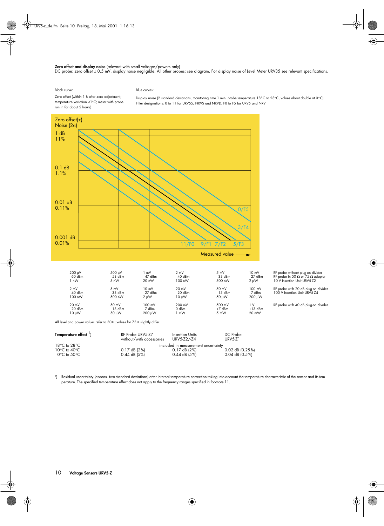#### **Zero offset and display noise** (relevant with small voltages/powers only)

DC probe: zero offset ± 0.5 mV, display noise negligible. All other probes: see diagram. For display noise of Level Meter URV35 see relevant specifications.

Black curve:

#### Blue curves:

Zero offset (within 1 h after zero adjustment; temperature variation <1°C; meter with probe run in for about 2 hours)

Display noise (2 standard deviations, monitoring time 1 min, probe temperature 18°C to 28°C, values about double at 0°C) Filter designations: 0 to 11 for URV55, NRVS and NRVD, F0 to F5 for URV5 and NRV



All level and power values refer to 50 $\Omega$ ; values for 75 $\Omega$  slightly differ.

| Temperature effect <sup>1</sup>  | RF Probe URV5-Z7<br>without/with accessories | Insertion Units<br>URV5-Z2/-Z4      | DC Probe<br>URV5-Z1 |
|----------------------------------|----------------------------------------------|-------------------------------------|---------------------|
| $18^{\circ}$ C to $28^{\circ}$ C |                                              | included in measurement uncertainty |                     |
| $10^{\circ}$ C to $40^{\circ}$ C | $0.17$ dB (2%)                               | $0.17$ dB (2%)                      | 0.02 dB (0.25%)     |
| 0°C to 50°C                      | $0.44$ dB $(5%)$                             | $0.44$ dB (5%)                      | $0.04$ dB (0.5%)    |

−20 dBm −13 dBm −7 dBm 0 dBm +7 dBm +13 dBm 10 µW 50 µW 200 µW 1 mW 5 mW 20 mW

1 ) Residual uncertainty (approx. two standard deviations) after internal temperature correction taking into account the temperature characteristic of the sensor and its temperature. The specified temperature effect does not apply to the frequency ranges specified in footnote 11.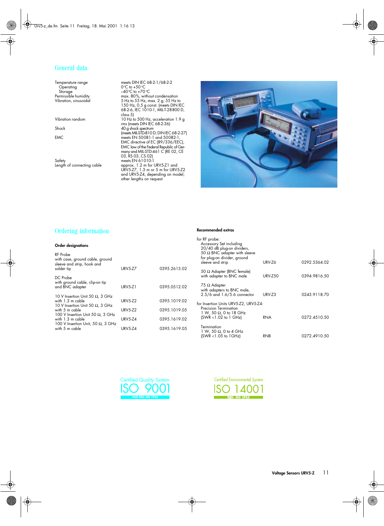#### General data

Operating 0°C to +50°C Storage –40°C to +70°C

Safety meets EN 61010-1

Temperature range meets DIN IEC 68-2-1/68-2-2 Permissible humidity max. 80%, without condensation Vibration, sinusoidal 5 Hz to 55 Hz, max. 2 g; 55 Hz to 150 Hz, 0.5 g const. (meets DIN IEC 68-2-6, IEC 1010-1, MIL-T-28800 D, class 5) Vibration random 10 Hz to 500 Hz, acceleration 1.9 g rms (meets DIN IEC 68-2-36) Shock 40 g shock spectrum (meets MIL-STD-810 D; DIN IEC 68-2-27) EMC meets EN 50081-1 and 50082-1, EMC directive of EC (89/336/EEC), EMC law of the Federal Republic of Ger-many and MIL-STD-461 C (RE 02, CE 03, RS 03, CS 02) media Environmental connection connection connection and URV5-Z7, 1.3 m or 5 m for URV5-Z2 and URV5-Z4, depending on model; other lengths on request



#### Ordering information

#### **Order designations**

#### RF Probe with case, ground cable, ground sleeve and strip, hook and solder tip URV5-Z7 0395.2615.02 DC Probe with ground cable, clip-on tip and BNC adapter URV5-Z1 0395.0512.02 10 V Insertion Unit 50 Ω, 3 GHz with 1.3 m cable URV5-Z2 0395.1019.02 10 V Insertion Unit 50 Ω, 3 GHz with 5 m cable URV5-Z2 0395.1019.05 100 V Insertion Unit 50 Ω, 3 GHz with 1.3 m cable URV5-Z4 0395.1619.02 100 V Insertion Unit, 50  $\Omega$ , 3 GHz<br>with 5 m cable URV5-Z4 0395.1619.05

#### **Recommended extras**

| for RF probe:<br>Accessory Set including<br>20/40 dB plug-on dividers,<br>50 $\Omega$ BNC adapter with sleeve<br>for plug-on divider, ground |                |              |
|----------------------------------------------------------------------------------------------------------------------------------------------|----------------|--------------|
| sleeve and strip                                                                                                                             | URV-Z6         | 0292.5364.02 |
| 50 $\Omega$ Adapter (BNC female)<br>with adapter to BNC male                                                                                 | <b>URV-Z50</b> | 0394.9816.50 |
| 75 $\Omega$ Adapter<br>with adapters to BNC male,<br>$2.5/6$ and 1.6/5.6 connector                                                           | URV-Z3         | 0243.9118.70 |
| for Insertion Units URV5-Z2, URV5-Z4:<br>Precision Termination<br>$1 W$ , 50 Ω, 0 to 18 GHz<br>$(SWR < 1.02$ to 1 GHz)                       | RNA            | 0272.4510.50 |
| Termination<br>$1\,$ W, 50 $\Omega$ , 0 to 4 GHz<br>$(SWR < 1.05$ to $1GHz)$                                                                 | RNB            | 0272.4910.50 |